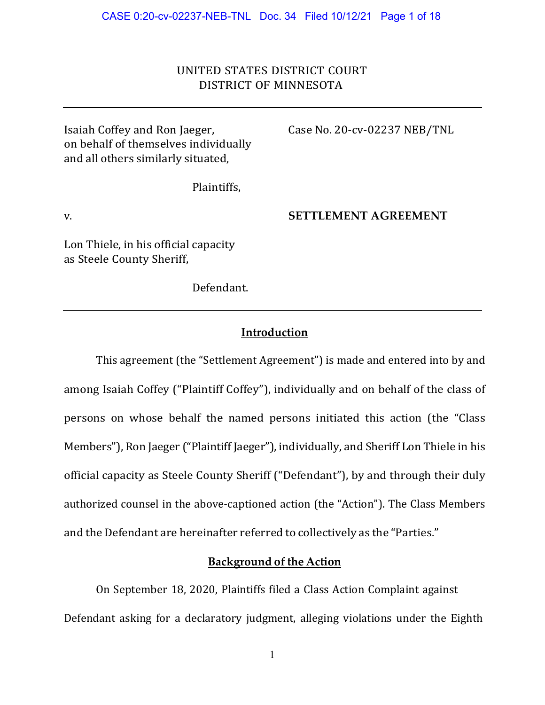## UNITED STATES DISTRICT COURT DISTRICT OF MINNESOTA

Isaiah Coffey and Ron Jaeger, Case No. 20-cv-02237 NEB/TNL on behalf of themselves individually and all others similarly situated,

Plaintiffs,

v. **SETTLEMENT AGREEMENT** 

Lon Thiele, in his official capacity as Steele County Sheriff,

Defendant.

#### **Introduction**

This agreement (the "Settlement Agreement") is made and entered into by and among Isaiah Coffey ("Plaintiff Coffey"), individually and on behalf of the class of persons on whose behalf the named persons initiated this action (the "Class Members"), Ron Jaeger ("Plaintiff Jaeger"), individually, and Sheriff Lon Thiele in his official capacity as Steele County Sheriff ("Defendant"), by and through their duly authorized counsel in the above-captioned action (the "Action"). The Class Members and the Defendant are hereinafter referred to collectively as the "Parties."

#### **Background of the Action**

On September 18, 2020, Plaintiffs filed a Class Action Complaint against Defendant asking for a declaratory judgment, alleging violations under the Eighth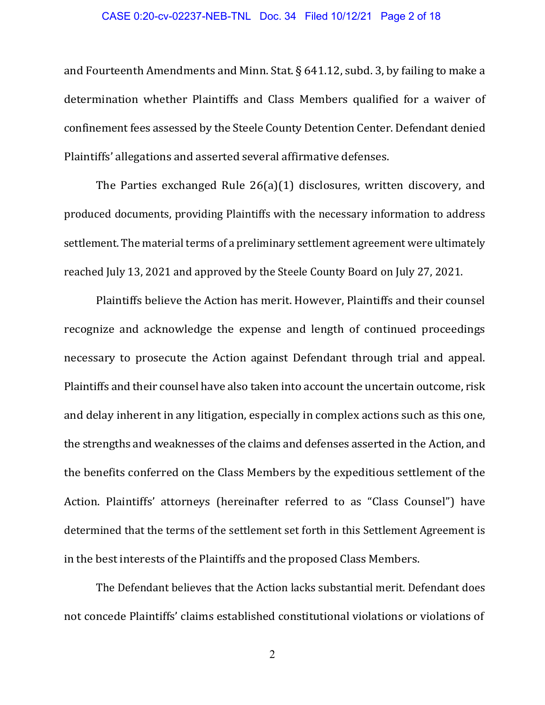#### CASE 0:20-cv-02237-NEB-TNL Doc. 34 Filed 10/12/21 Page 2 of 18

and Fourteenth Amendments and Minn. Stat. § 641.12, subd. 3, by failing to make a determination whether Plaintiffs and Class Members qualified for a waiver of confinement fees assessed by the Steele County Detention Center. Defendant denied Plaintiffs' allegations and asserted several affirmative defenses.

The Parties exchanged Rule 26(a)(1) disclosures, written discovery, and produced documents, providing Plaintiffs with the necessary information to address settlement. The material terms of a preliminary settlement agreement were ultimately reached July 13, 2021 and approved by the Steele County Board on July 27, 2021.

Plaintiffs believe the Action has merit. However, Plaintiffs and their counsel recognize and acknowledge the expense and length of continued proceedings necessary to prosecute the Action against Defendant through trial and appeal. Plaintiffs and their counsel have also taken into account the uncertain outcome, risk and delay inherent in any litigation, especially in complex actions such as this one, the strengths and weaknesses of the claims and defenses asserted in the Action, and the benefits conferred on the Class Members by the expeditious settlement of the Action. Plaintiffs' attorneys (hereinafter referred to as "Class Counsel") have determined that the terms of the settlement set forth in this Settlement Agreement is in the best interests of the Plaintiffs and the proposed Class Members.

The Defendant believes that the Action lacks substantial merit. Defendant does not concede Plaintiffs' claims established constitutional violations or violations of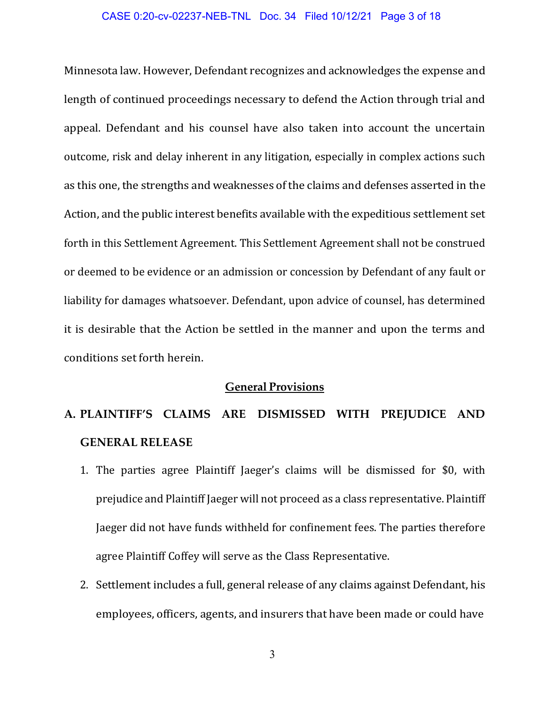#### CASE 0:20-cv-02237-NEB-TNL Doc. 34 Filed 10/12/21 Page 3 of 18

Minnesota law. However, Defendant recognizes and acknowledges the expense and length of continued proceedings necessary to defend the Action through trial and appeal. Defendant and his counsel have also taken into account the uncertain outcome, risk and delay inherent in any litigation, especially in complex actions such as this one, the strengths and weaknesses of the claims and defenses asserted in the Action, and the public interest benefits available with the expeditious settlement set forth in this Settlement Agreement. This Settlement Agreement shall not be construed or deemed to be evidence or an admission or concession by Defendant of any fault or liability for damages whatsoever. Defendant, upon advice of counsel, has determined it is desirable that the Action be settled in the manner and upon the terms and conditions set forth herein.

#### **General Provisions**

# **A. PLAINTIFF'S CLAIMS ARE DISMISSED WITH PREJUDICE AND GENERAL RELEASE**

- 1. The parties agree Plaintiff Jaeger's claims will be dismissed for \$0, with prejudice and Plaintiff Jaeger will not proceed as a class representative. Plaintiff Jaeger did not have funds withheld for confinement fees. The parties therefore agree Plaintiff Coffey will serve as the Class Representative.
- 2. Settlement includes a full, general release of any claims against Defendant, his employees, officers, agents, and insurers that have been made or could have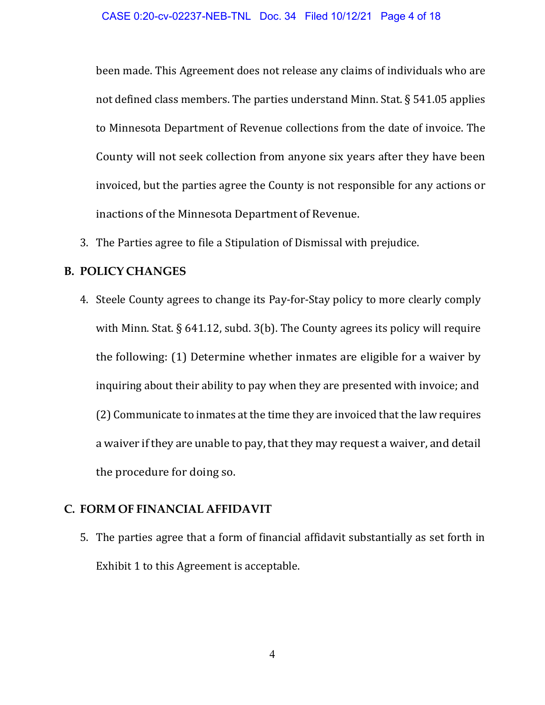been made. This Agreement does not release any claims of individuals who are not defined class members. The parties understand Minn. Stat. § 541.05 applies to Minnesota Department of Revenue collections from the date of invoice. The County will not seek collection from anyone six years after they have been invoiced, but the parties agree the County is not responsible for any actions or inactions of the Minnesota Department of Revenue.

3. The Parties agree to file a Stipulation of Dismissal with prejudice.

#### **B. POLICY CHANGES**

4. Steele County agrees to change its Pay-for-Stay policy to more clearly comply with Minn. Stat. § 641.12, subd. 3(b). The County agrees its policy will require the following: (1) Determine whether inmates are eligible for a waiver by inquiring about their ability to pay when they are presented with invoice; and (2) Communicate to inmates at the time they are invoiced that the law requires a waiver if they are unable to pay, that they may request a waiver, and detail the procedure for doing so.

## **C. FORM OF FINANCIAL AFFIDAVIT**

5. The parties agree that a form of financial affidavit substantially as set forth in Exhibit 1 to this Agreement is acceptable.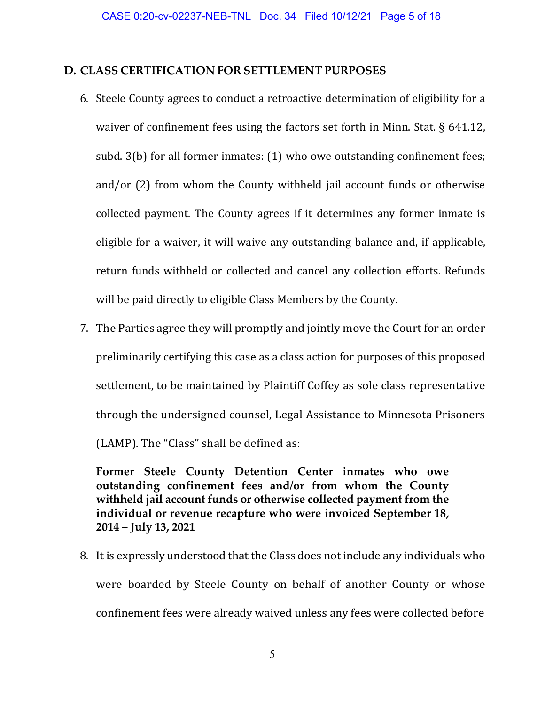#### **D. CLASS CERTIFICATION FOR SETTLEMENT PURPOSES**

- 6. Steele County agrees to conduct a retroactive determination of eligibility for a waiver of confinement fees using the factors set forth in Minn. Stat. § 641.12, subd. 3(b) for all former inmates: (1) who owe outstanding confinement fees; and/or (2) from whom the County withheld jail account funds or otherwise collected payment. The County agrees if it determines any former inmate is eligible for a waiver, it will waive any outstanding balance and, if applicable, return funds withheld or collected and cancel any collection efforts. Refunds will be paid directly to eligible Class Members by the County.
- 7. The Parties agree they will promptly and jointly move the Court for an order preliminarily certifying this case as a class action for purposes of this proposed settlement, to be maintained by Plaintiff Coffey as sole class representative through the undersigned counsel, Legal Assistance to Minnesota Prisoners (LAMP). The "Class" shall be defined as:

**Former Steele County Detention Center inmates who owe outstanding confinement fees and/or from whom the County withheld jail account funds or otherwise collected payment from the individual or revenue recapture who were invoiced September 18, 2014 – July 13, 2021** 

8. It is expressly understood that the Class does not include any individuals who were boarded by Steele County on behalf of another County or whose confinement fees were already waived unless any fees were collected before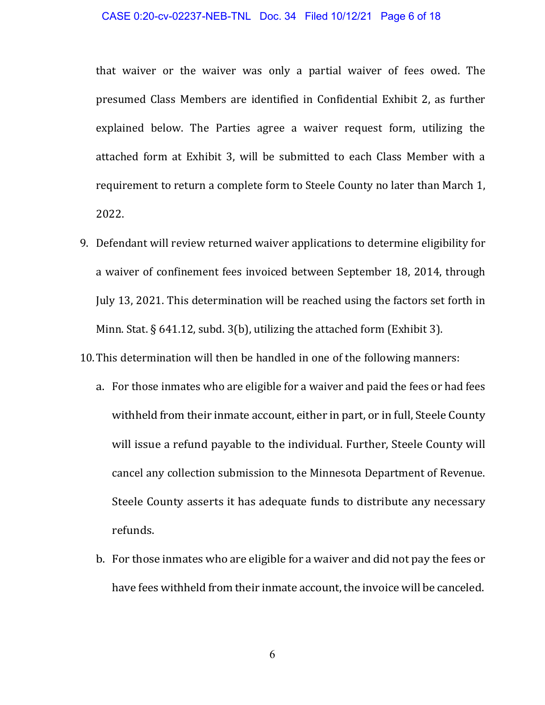#### CASE 0:20-cv-02237-NEB-TNL Doc. 34 Filed 10/12/21 Page 6 of 18

that waiver or the waiver was only a partial waiver of fees owed. The presumed Class Members are identified in Confidential Exhibit 2, as further explained below. The Parties agree a waiver request form, utilizing the attached form at Exhibit 3, will be submitted to each Class Member with a requirement to return a complete form to Steele County no later than March 1, 2022.

9. Defendant will review returned waiver applications to determine eligibility for a waiver of confinement fees invoiced between September 18, 2014, through July 13, 2021. This determination will be reached using the factors set forth in Minn. Stat. § 641.12, subd. 3(b), utilizing the attached form (Exhibit 3).

10.This determination will then be handled in one of the following manners:

- a. For those inmates who are eligible for a waiver and paid the fees or had fees withheld from their inmate account, either in part, or in full, Steele County will issue a refund payable to the individual. Further, Steele County will cancel any collection submission to the Minnesota Department of Revenue. Steele County asserts it has adequate funds to distribute any necessary refunds.
- b. For those inmates who are eligible for a waiver and did not pay the fees or have fees withheld from their inmate account, the invoice will be canceled.

6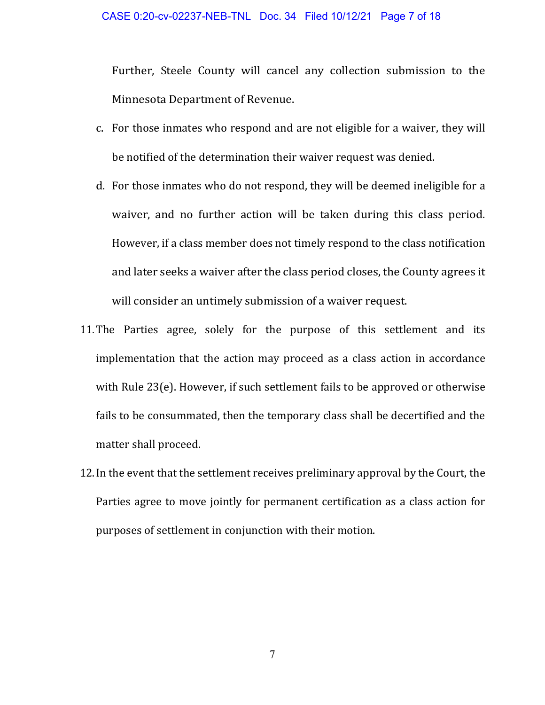Further, Steele County will cancel any collection submission to the Minnesota Department of Revenue.

- c. For those inmates who respond and are not eligible for a waiver, they will be notified of the determination their waiver request was denied.
- d. For those inmates who do not respond, they will be deemed ineligible for a waiver, and no further action will be taken during this class period. However, if a class member does not timely respond to the class notification and later seeks a waiver after the class period closes, the County agrees it will consider an untimely submission of a waiver request.
- 11.The Parties agree, solely for the purpose of this settlement and its implementation that the action may proceed as a class action in accordance with Rule 23(e). However, if such settlement fails to be approved or otherwise fails to be consummated, then the temporary class shall be decertified and the matter shall proceed.
- 12.In the event that the settlement receives preliminary approval by the Court, the Parties agree to move jointly for permanent certification as a class action for purposes of settlement in conjunction with their motion.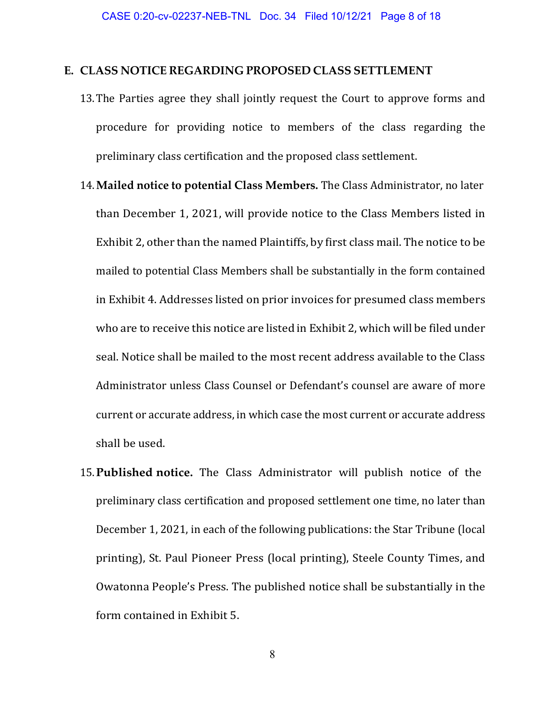#### **E. CLASS NOTICE REGARDING PROPOSED CLASS SETTLEMENT**

- 13.The Parties agree they shall jointly request the Court to approve forms and procedure for providing notice to members of the class regarding the preliminary class certification and the proposed class settlement.
- 14.**Mailed notice to potential Class Members.** The Class Administrator, no later than December 1, 2021, will provide notice to the Class Members listed in Exhibit 2, other than the named Plaintiffs, by first class mail. The notice to be mailed to potential Class Members shall be substantially in the form contained in Exhibit 4. Addresses listed on prior invoices for presumed class members who are to receive this notice are listed in Exhibit 2, which will be filed under seal. Notice shall be mailed to the most recent address available to the Class Administrator unless Class Counsel or Defendant's counsel are aware of more current or accurate address, in which case the most current or accurate address shall be used.
- 15.**Published notice.** The Class Administrator will publish notice of the preliminary class certification and proposed settlement one time, no later than December 1, 2021, in each of the following publications: the Star Tribune (local printing), St. Paul Pioneer Press (local printing), Steele County Times, and Owatonna People's Press. The published notice shall be substantially in the form contained in Exhibit 5.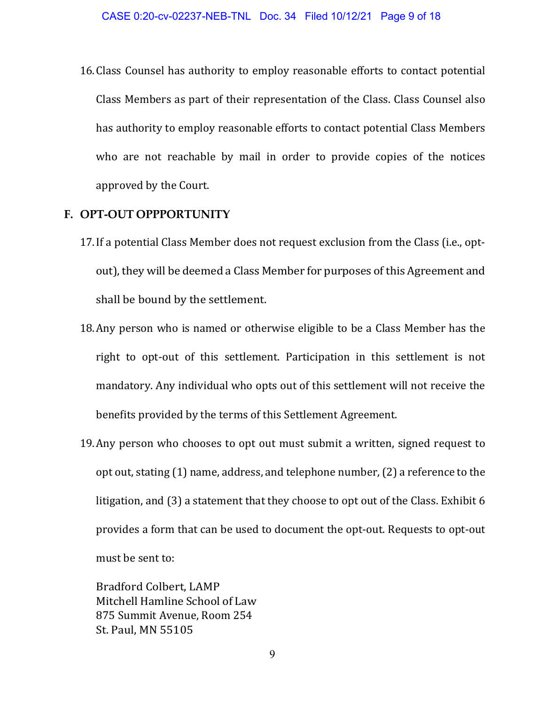16.Class Counsel has authority to employ reasonable efforts to contact potential Class Members as part of their representation of the Class. Class Counsel also has authority to employ reasonable efforts to contact potential Class Members who are not reachable by mail in order to provide copies of the notices approved by the Court.

#### **F. OPT-OUT OPPPORTUNITY**

- 17.If a potential Class Member does not request exclusion from the Class (i.e., optout), they will be deemed a Class Member for purposes of this Agreement and shall be bound by the settlement.
- 18.Any person who is named or otherwise eligible to be a Class Member has the right to opt-out of this settlement. Participation in this settlement is not mandatory. Any individual who opts out of this settlement will not receive the benefits provided by the terms of this Settlement Agreement.
- 19.Any person who chooses to opt out must submit a written, signed request to opt out, stating (1) name, address, and telephone number, (2) a reference to the litigation, and (3) a statement that they choose to opt out of the Class. Exhibit 6 provides a form that can be used to document the opt-out. Requests to opt-out must be sent to:

Bradford Colbert, LAMP Mitchell Hamline School of Law 875 Summit Avenue, Room 254 St. Paul, MN 55105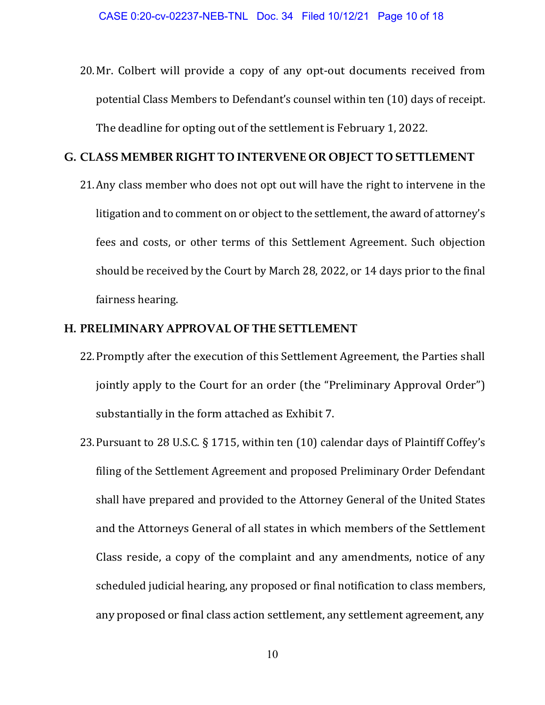20.Mr. Colbert will provide a copy of any opt-out documents received from potential Class Members to Defendant's counsel within ten (10) days of receipt. The deadline for opting out of the settlement is February 1, 2022.

#### **G. CLASS MEMBER RIGHT TO INTERVENE OR OBJECT TO SETTLEMENT**

21.Any class member who does not opt out will have the right to intervene in the litigation and to comment on or object to the settlement, the award of attorney's fees and costs, or other terms of this Settlement Agreement. Such objection should be received by the Court by March 28, 2022, or 14 days prior to the final fairness hearing.

#### **H. PRELIMINARY APPROVAL OF THE SETTLEMENT**

- 22.Promptly after the execution of this Settlement Agreement, the Parties shall jointly apply to the Court for an order (the "Preliminary Approval Order") substantially in the form attached as Exhibit 7.
- 23.Pursuant to 28 U.S.C. § 1715, within ten (10) calendar days of Plaintiff Coffey's filing of the Settlement Agreement and proposed Preliminary Order Defendant shall have prepared and provided to the Attorney General of the United States and the Attorneys General of all states in which members of the Settlement Class reside, a copy of the complaint and any amendments, notice of any scheduled judicial hearing, any proposed or final notification to class members, any proposed or final class action settlement, any settlement agreement, any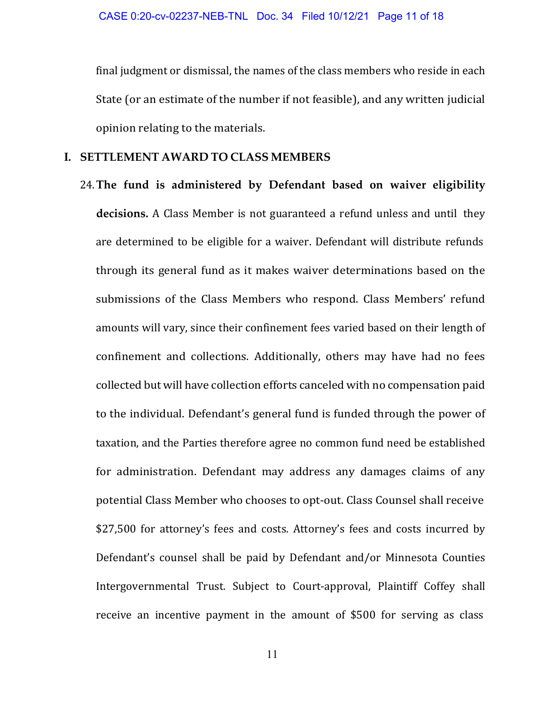final judgment or dismissal, the names of the class members who reside in each State (or an estimate of the number if not feasible), and any written judicial opinion relating to the materials.

## **I. SETTLEMENT AWARD TO CLASS MEMBERS**

24.**The fund is administered by Defendant based on waiver eligibility decisions.** A Class Member is not guaranteed a refund unless and until they are determined to be eligible for a waiver. Defendant will distribute refunds through its general fund as it makes waiver determinations based on the submissions of the Class Members who respond. Class Members' refund amounts will vary, since their confinement fees varied based on their length of confinement and collections. Additionally, others may have had no fees collected but will have collection efforts canceled with no compensation paid to the individual. Defendant's general fund is funded through the power of taxation, and the Parties therefore agree no common fund need be established for administration. Defendant may address any damages claims of any potential Class Member who chooses to opt-out. Class Counsel shall receive \$27,500 for attorney's fees and costs. Attorney's fees and costs incurred by Defendant's counsel shall be paid by Defendant and/or Minnesota Counties Intergovernmental Trust. Subject to Court-approval, Plaintiff Coffey shall receive an incentive payment in the amount of \$500 for serving as class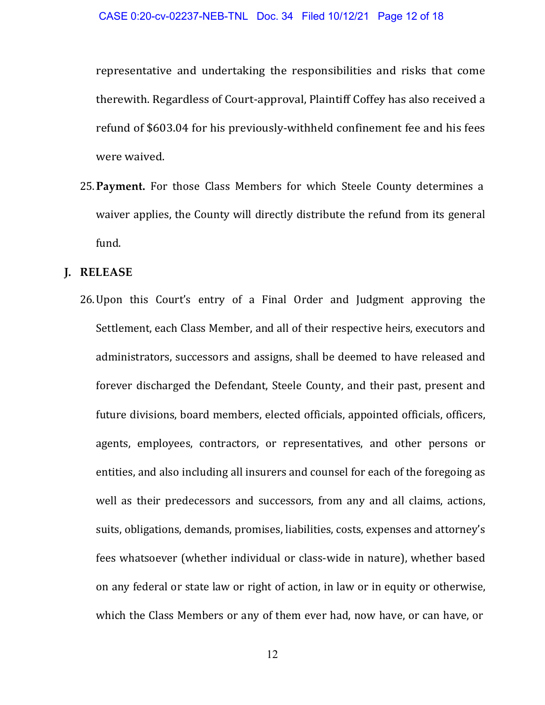representative and undertaking the responsibilities and risks that come therewith. Regardless of Court-approval, Plaintiff Coffey has also received a refund of \$603.04 for his previously-withheld confinement fee and his fees were waived.

25.**Payment.** For those Class Members for which Steele County determines a waiver applies, the County will directly distribute the refund from its general fund.

#### **J. RELEASE**

26.Upon this Court's entry of a Final Order and Judgment approving the Settlement, each Class Member, and all of their respective heirs, executors and administrators, successors and assigns, shall be deemed to have released and forever discharged the Defendant, Steele County, and their past, present and future divisions, board members, elected officials, appointed officials, officers, agents, employees, contractors, or representatives, and other persons or entities, and also including all insurers and counsel for each of the foregoing as well as their predecessors and successors, from any and all claims, actions, suits, obligations, demands, promises, liabilities, costs, expenses and attorney's fees whatsoever (whether individual or class-wide in nature), whether based on any federal or state law or right of action, in law or in equity or otherwise, which the Class Members or any of them ever had, now have, or can have, or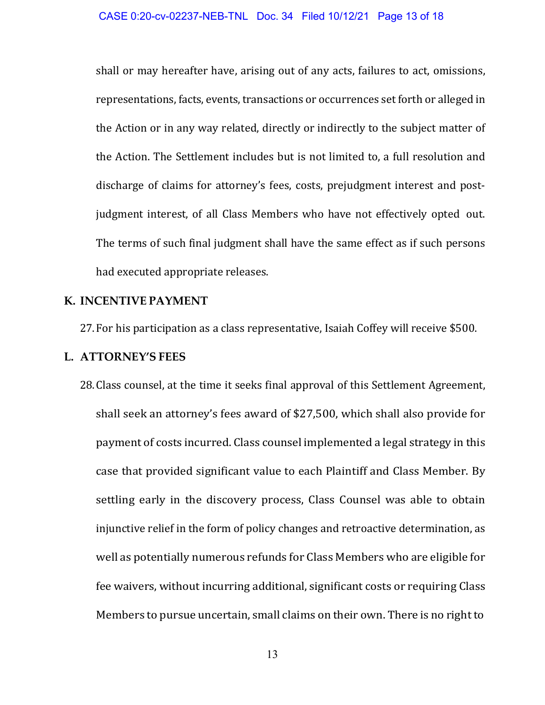shall or may hereafter have, arising out of any acts, failures to act, omissions, representations, facts, events, transactions or occurrences set forth or alleged in the Action or in any way related, directly or indirectly to the subject matter of the Action. The Settlement includes but is not limited to, a full resolution and discharge of claims for attorney's fees, costs, prejudgment interest and postjudgment interest, of all Class Members who have not effectively opted out. The terms of such final judgment shall have the same effect as if such persons had executed appropriate releases.

## **K. INCENTIVE PAYMENT**

27.For his participation as a class representative, Isaiah Coffey will receive \$500.

#### **L. ATTORNEY'S FEES**

28.Class counsel, at the time it seeks final approval of this Settlement Agreement, shall seek an attorney's fees award of \$27,500, which shall also provide for payment of costs incurred. Class counsel implemented a legal strategy in this case that provided significant value to each Plaintiff and Class Member. By settling early in the discovery process, Class Counsel was able to obtain injunctive relief in the form of policy changes and retroactive determination, as well as potentially numerous refunds for Class Members who are eligible for fee waivers, without incurring additional, significant costs or requiring Class Members to pursue uncertain, small claims on their own. There is no right to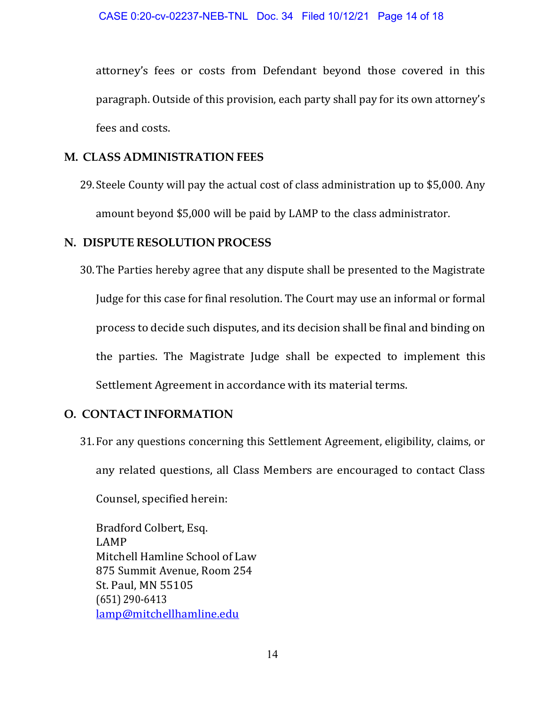attorney's fees or costs from Defendant beyond those covered in this paragraph. Outside of this provision, each party shall pay for its own attorney's fees and costs.

## **M. CLASS ADMINISTRATION FEES**

29. Steele County will pay the actual cost of class administration up to \$5,000. Any amount beyond \$5,000 will be paid by LAMP to the class administrator.

## **N. DISPUTE RESOLUTION PROCESS**

30.The Parties hereby agree that any dispute shall be presented to the Magistrate Judge for this case for final resolution. The Court may use an informal or formal process to decide such disputes, and its decision shall be final and binding on the parties. The Magistrate Judge shall be expected to implement this Settlement Agreement in accordance with its material terms.

## **O. CONTACT INFORMATION**

31.For any questions concerning this Settlement Agreement, eligibility, claims, or any related questions, all Class Members are encouraged to contact Class

Counsel, specified herein:

Bradford Colbert, Esq. LAMP Mitchell Hamline School of Law 875 Summit Avenue, Room 254 St. Paul, MN 55105 (651) 290-6413 lamp@mitchellhamline.edu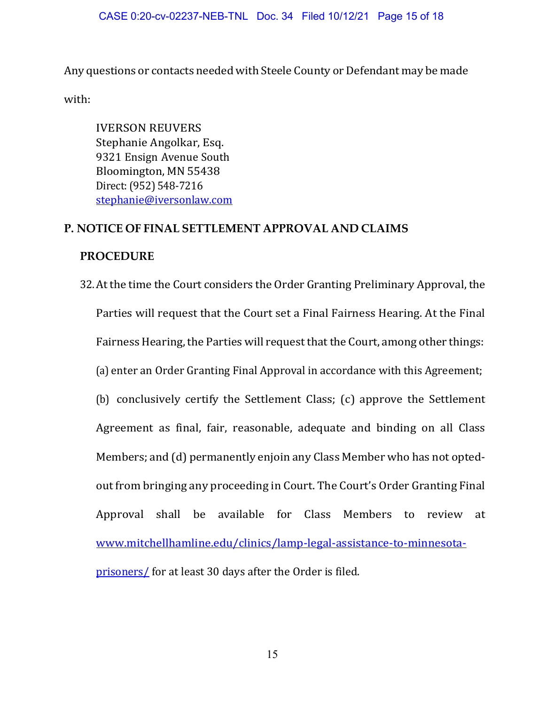#### CASE 0:20-cv-02237-NEB-TNL Doc. 34 Filed 10/12/21 Page 15 of 18

Any questions or contacts needed with Steele County or Defendant may be made

with:

IVERSON REUVERS Stephanie Angolkar, Esq. 9321 Ensign Avenue South Bloomington, MN 55438 Direct: (952) 548-7216 stephanie@iversonlaw.com

#### **P. NOTICE OF FINAL SETTLEMENT APPROVAL AND CLAIMS**

#### **PROCEDURE**

32.At the time the Court considers the Order Granting Preliminary Approval, the Parties will request that the Court set a Final Fairness Hearing. At the Final Fairness Hearing, the Parties will request that the Court, among other things: (a) enter an Order Granting Final Approval in accordance with this Agreement; (b) conclusively certify the Settlement Class; (c) approve the Settlement Agreement as final, fair, reasonable, adequate and binding on all Class Members; and (d) permanently enjoin any Class Member who has not optedout from bringing any proceeding in Court. The Court's Order Granting Final Approval shall be available for Class Members to review at www.mitchellhamline.edu/clinics/lamp-legal-assistance-to-minnesotaprisoners/ for at least 30 days after the Order is filed.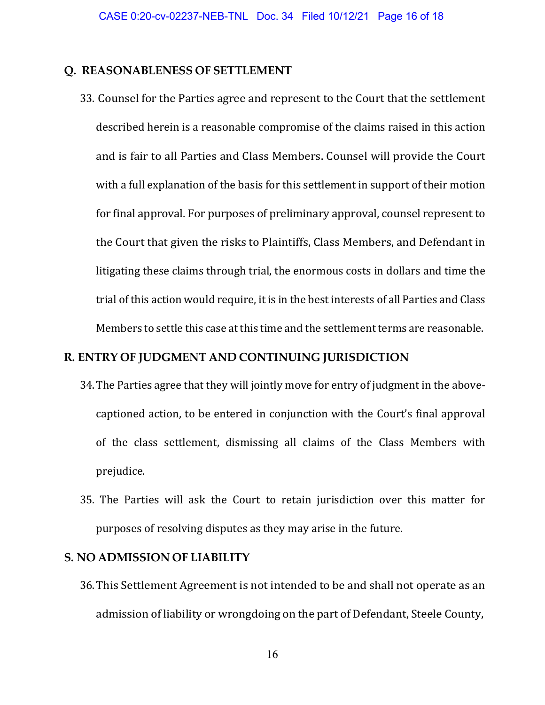## **Q. REASONABLENESS OF SETTLEMENT**

33. Counsel for the Parties agree and represent to the Court that the settlement described herein is a reasonable compromise of the claims raised in this action and is fair to all Parties and Class Members. Counsel will provide the Court with a full explanation of the basis for this settlement in support of their motion for final approval. For purposes of preliminary approval, counsel represent to the Court that given the risks to Plaintiffs, Class Members, and Defendant in litigating these claims through trial, the enormous costs in dollars and time the trial of this action would require, it is in the best interests of all Parties and Class Members to settle this case at this time and the settlement terms are reasonable.

# **R. ENTRY OF JUDGMENT AND CONTINUING JURISDICTION**

- 34.The Parties agree that they will jointly move for entry of judgment in the abovecaptioned action, to be entered in conjunction with the Court's final approval of the class settlement, dismissing all claims of the Class Members with prejudice.
- 35. The Parties will ask the Court to retain jurisdiction over this matter for purposes of resolving disputes as they may arise in the future.

#### **S. NO ADMISSION OF LIABILITY**

36.This Settlement Agreement is not intended to be and shall not operate as an admission of liability or wrongdoing on the part of Defendant, Steele County,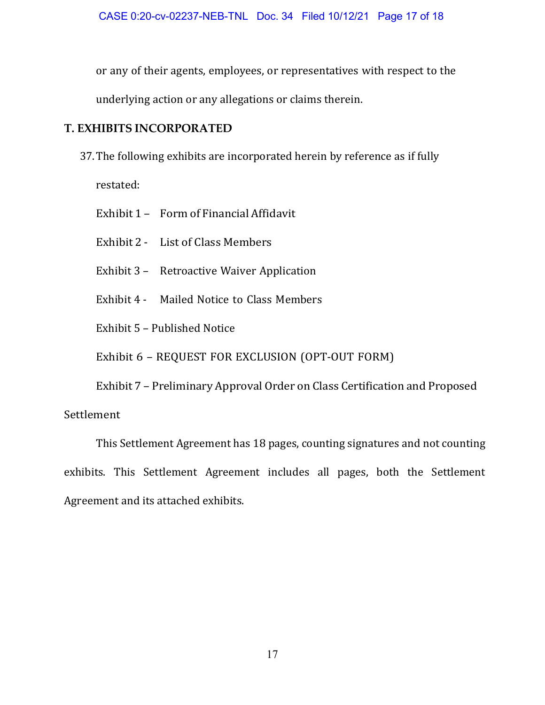or any of their agents, employees, or representatives with respect to the underlying action or any allegations or claims therein.

## **T. EXHIBITS INCORPORATED**

- 37.The following exhibits are incorporated herein by reference as if fully restated:
	- Exhibit 1 Form of Financial Affidavit
	- Exhibit 2 List of Class Members
	- Exhibit 3 Retroactive Waiver Application
	- Exhibit 4 Mailed Notice to Class Members
	- Exhibit 5 Published Notice

Exhibit 6 – REQUEST FOR EXCLUSION (OPT-OUT FORM)

Exhibit 7 – Preliminary Approval Order on Class Certification and Proposed

Settlement

This Settlement Agreement has 18 pages, counting signatures and not counting exhibits. This Settlement Agreement includes all pages, both the Settlement Agreement and its attached exhibits.